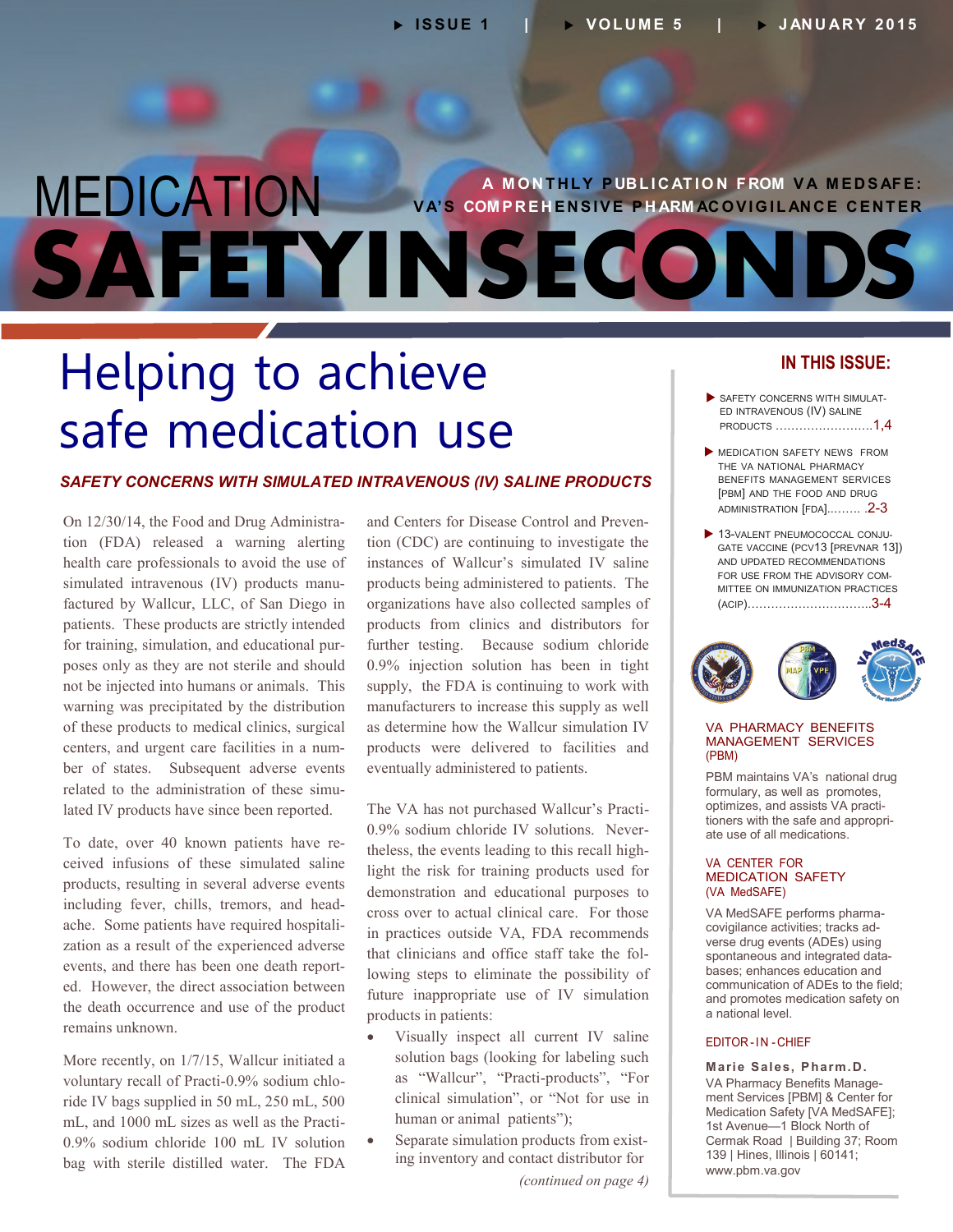# MEDICATION **SAFETYINSECONDS A M O N T H L Y P UB L I C AT I O N F ROM V A M E D S AF E : VA'S COMPREHENSIVE PHARM AC OVIGILANCE CENTER**

# Helping to achieve safe medication use

### *SAFETY CONCERNS WITH SIMULATED INTRAVENOUS (IV) SALINE PRODUCTS*

On 12/30/14, the Food and Drug Administrasimulated intravenous (IV) products manu-- for training, simulation, and educational pur - centers, and urgent care facilities in a num - related to the administration of these simu tion (FDA) released a warning alerting health care professionals to avoid the use of factured by Wallcur, LLC, of San Diego in patients. These products are strictly intended poses only as they are not sterile and should not be injected into humans or animals. This warning was precipitated by the distribution of these products to medical clinics, surgical ber of states. Subsequent adverse events lated IV products have since been reported.

To date, over 40 known patients have reincluding fever, chills, tremors, and headache. Some patients have required hospitalievents, and there has been one death reportceived infusions of these simulated saline products, resulting in several adverse events zation as a result of the experienced adverse ed. However, the direct association between the death occurrence and use of the product remains unknown.

- voluntary recall of Practi-0.9% sodium chlo More recently, on 1/7/15, Wallcur initiated a ride IV bags supplied in 50 mL, 250 mL, 500 mL, and 1000 mL sizes as well as the Practi-0.9% sodium chloride 100 mL IV solution bag with sterile distilled water. The FDA

and Centers for Disease Control and Prevention (CDC) are continuing to investigate the instances of Wallcur's simulated IV saline products being administered to patients. The organizations have also collected samples of products from clinics and distributors for further testing. Because sodium chloride 0.9% injection solution has been in tight supply, the FDA is continuing to work with manufacturers to increase this supply as well as determine how the Wallcur simulation IV products were delivered to facilities and eventually administered to patients.

- 0.9% sodium chloride IV solutions. Never theless, the events leading to this recall high-- that clinicians and office staff take the fol The VA has not purchased Wallcur's Practilight the risk for training products used for demonstration and educational purposes to cross over to actual clinical care. For those in practices outside VA, FDA recommends lowing steps to eliminate the possibility of future inappropriate use of IV simulation products in patients:

- Visually inspect all current IV saline solution bags (looking for labeling such as "Wallcur", "Practi-products", "For clinical simulation", or "Not for use in human or animal patients");
- Separate simulation products from existing inventory and contact distributor for

*(continued on page 4)*

## **IN THIS ISSUE:**

- SAFETY CONCERNS WITH SIMULAT-ED INTRAVENOUS (IV) SALINE PRODUCTS …………………….1,4
- **MEDICATION SAFETY NEWS FROM** THE VA NATIONAL PHARMACY BENEFITS MANAGEMENT SERVICES [PBM] AND THE FOOD AND DRUG [ADMINISTRATION \[FDA\]..……. .2](#page-1-0)-3
- 13-VALENT PNEUMOCOCCAL CONJU-FOR USE FROM THE ADVISORY COM-GATE VACCINE (PCV13 [PREVNAR 13]) AND UPDATED RECOMMENDATIONS MITTEE ON IMMUNIZATION PRACTICES [\(ACIP\)…………………………..3](#page-2-0)-4



#### VA PHARMACY BENEFITS MANAGEMENT SERVICES (PBM)

optimizes, and assists VA practitioners with the safe and appropri-PBM maintains VA's national drug formulary, as well as promotes, ate use of all medications.

#### VA CENTER FOR MEDICATION SAFETY (VA MedSAFE)

- VA MedSAFE performs pharma - covigilance activities; tracks ad - spontaneous and integrated data verse drug events (ADEs) using bases; enhances education and communication of ADEs to the field; and promotes medication safety on a national level.

#### EDITOR-IN -CHIEF

- VA Pharmacy Benefits Manage **Marie Sales, Pharm .D.**  ment Services [PBM] & Center for Medication Safety [VA MedSAFE]; 1st Avenue—1 Block North of Cermak Road | Building 37; Room 139 | Hines, Illinois | 60141; www.pbm.va.gov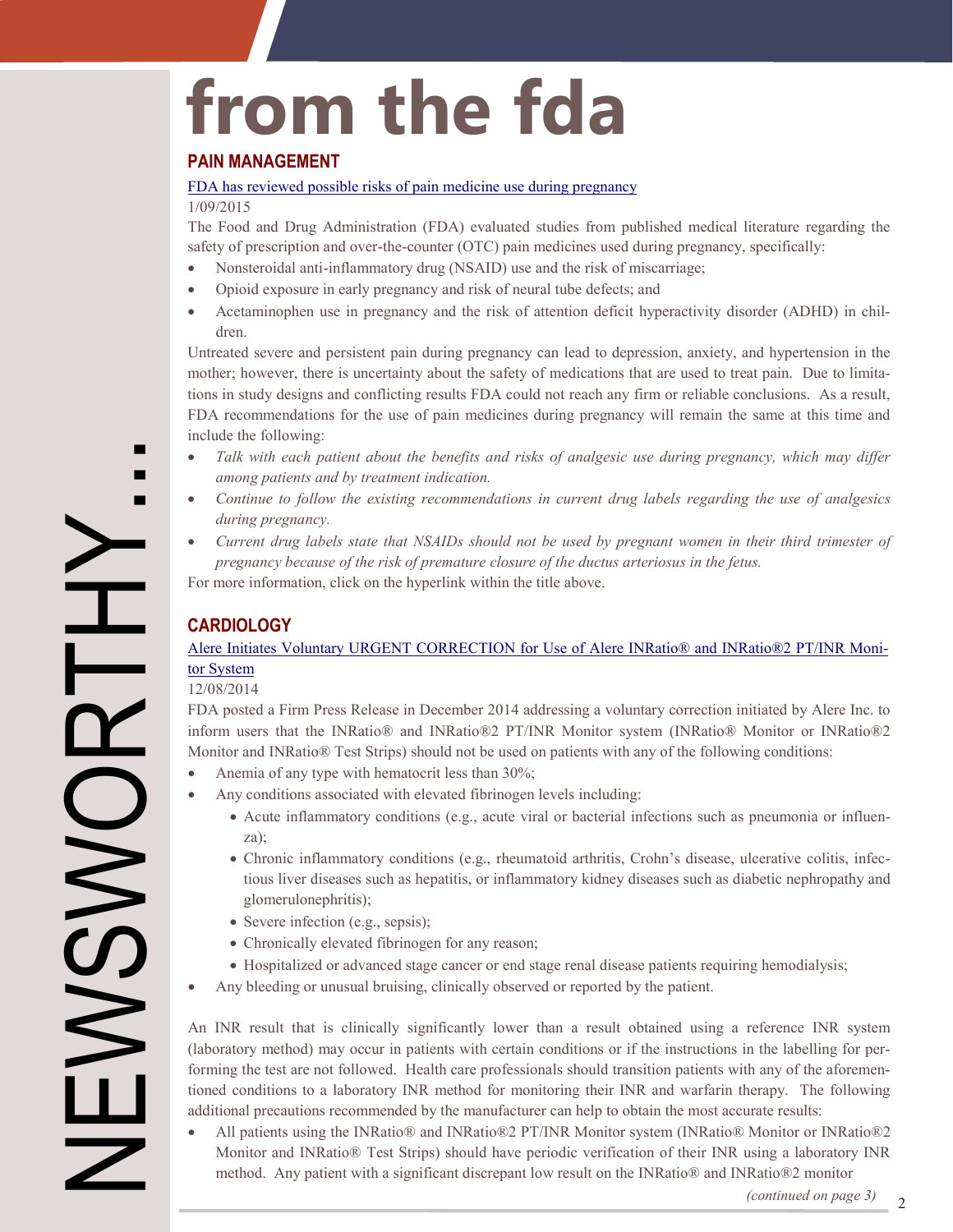# <span id="page-1-0"></span>**from the fda**

## **PAIN MANAGEMENT**

#### [FDA has reviewed possible risks of pain medicine use during pregnancy](http://www.fda.gov/Drugs/DrugSafety/ucm429117.htm)

#### 1/09/2015

The Food and Drug Administration (FDA) evaluated studies from published medical literature regarding the safety of prescription and over-the-counter (OTC) pain medicines used during pregnancy, specifically:

- Nonsteroidal anti-inflammatory drug (NSAID) use and the risk of miscarriage;
- Opioid exposure in early pregnancy and risk of neural tube defects; and
- Acetaminophen use in pregnancy and the risk of attention deficit hyperactivity disorder (ADHD) in children.

mother; however, there is uncertainty about the safety of medications that are used to treat pain. Due to limita-Untreated severe and persistent pain during pregnancy can lead to depression, anxiety, and hypertension in the tions in study designs and conflicting results FDA could not reach any firm or reliable conclusions. As a result, FDA recommendations for the use of pain medicines during pregnancy will remain the same at this time and include the following:

- *Talk with each patient about the benefits and risks of analgesic use during pregnancy, which may differ among patients and by treatment indication.*
- *Continue to follow the existing recommendations in current drug labels regarding the use of analgesics during pregnancy.*
- *Current drug labels state that NSAIDs should not be used by pregnant women in their third trimester of pregnancy because of the risk of premature closure of the ductus arteriosus in the fetus.*

For more information, click on the hyperlink within the title above.

## **CARDIOLOGY**

## [Alere Initiates Voluntary URGENT CORRECTION for Use of Alere INRatio® and INRatio®2 PT/INR Moni](http://www.fda.gov/Safety/Recalls/ucm426166.htm?source=govdelivery&utm_medium=email&utm_source=govdelivery)tor System

#### 12/08/2014

NEWSWORTHY...

**DEVSME** 

 $\overline{\phantom{0}}$ 

FDA posted a Firm Press Release in December 2014 addressing a voluntary correction initiated by Alere Inc. to inform users that the INRatio® and INRatio®2 PT/INR Monitor system (INRatio® Monitor or INRatio®2 Monitor and INRatio® Test Strips) should not be used on patients with any of the following conditions:

- Anemia of any type with hematocrit less than 30%;
- Any conditions associated with elevated fibrinogen levels including:
	- Acute inflammatory conditions (e.g., acute viral or bacterial infections such as pneumonia or influenza);
	- Chronic inflammatory conditions (e.g., rheumatoid arthritis, Crohn's disease, ulcerative colitis, infectious liver diseases such as hepatitis, or inflammatory kidney diseases such as diabetic nephropathy and glomerulonephritis);
	- Severe infection (e.g., sepsis);
	- Chronically elevated fibrinogen for any reason;
	- Hospitalized or advanced stage cancer or end stage renal disease patients requiring hemodialysis;
- Any bleeding or unusual bruising, clinically observed or reported by the patient.

- (laboratory method) may occur in patients with certain conditions or if the instructions in the labelling for per forming the test are not followed. Health care professionals should transition patients with any of the aforemen-An INR result that is clinically significantly lower than a result obtained using a reference INR system tioned conditions to a laboratory INR method for monitoring their INR and warfarin therapy. The following additional precautions recommended by the manufacturer can help to obtain the most accurate results:

• All patients using the INRatio® and INRatio®2 PT/INR Monitor system (INRatio® Monitor or INRatio®2 Monitor and INRatio® Test Strips) should have periodic verification of their INR using a laboratory INR method. Any patient with a significant discrepant low result on the INRatio® and INRatio®2 monitor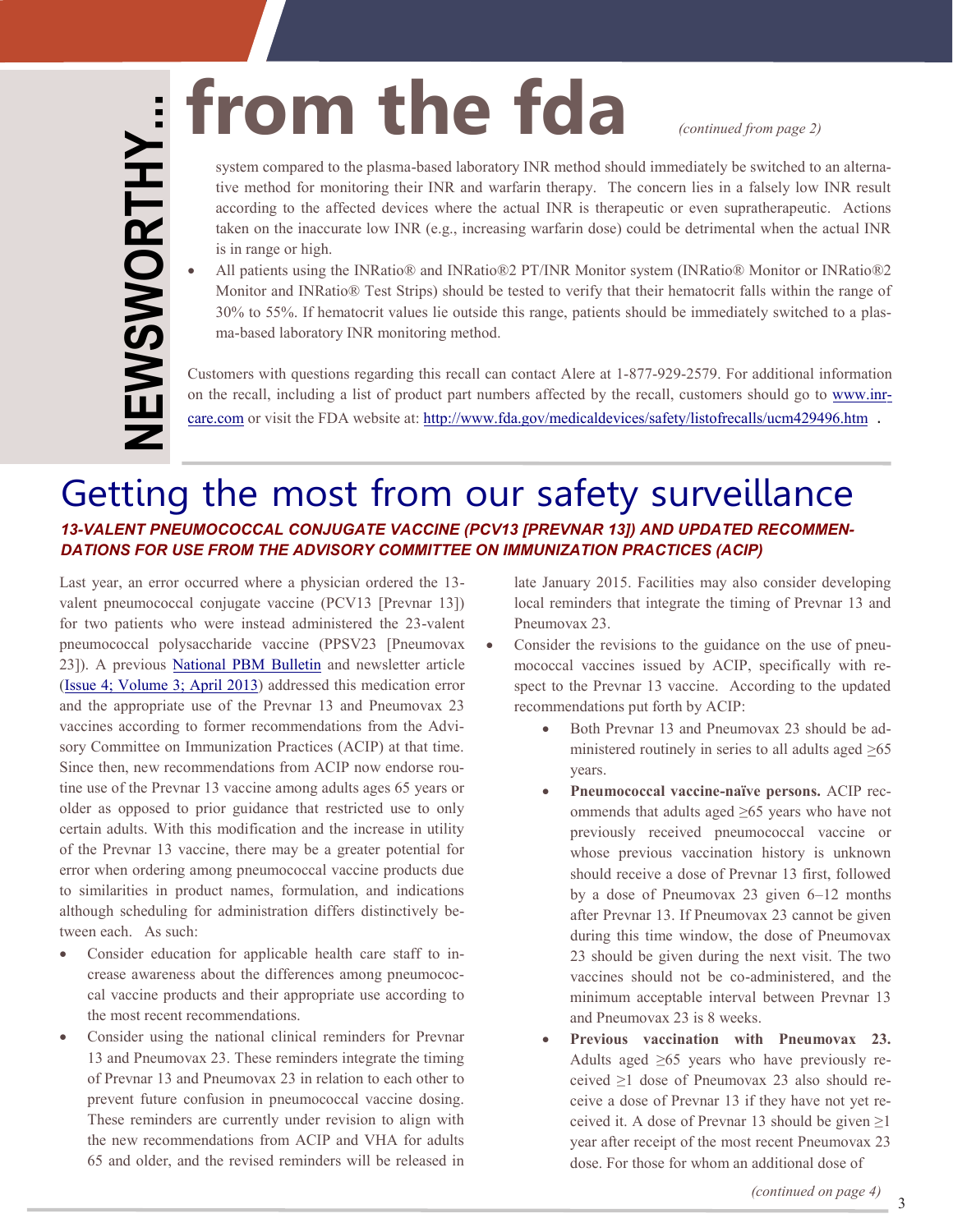<span id="page-2-0"></span>system compared to the plasma-based laboratory INR method should immediately be switched to an alternasystem compared to the plasma-based laboratory INR method should immediately be switched to tive method for monitoring their INR and warfarin therapy. The concern lies in a falsely low according to the affected devices whe tive method for monitoring their INR and warfarin therapy. The concern lies in a falsely low INR result according to the affected devices where the actual INR is therapeutic or even supratherapeutic. Actions taken on the inaccurate low INR (e.g., increasing warfarin dose) could be detrimental when the actual INR is in range or high.

- 30% to 55%. If hematocrit values lie outside this range, patients should be immediately switched to a plas All patients using the INRatio® and INRatio®2 PT/INR Monitor system (INRatio® Monitor or INRatio®2 Monitor and INRatio® Test Strips) should be tested to verify that their hematocrit falls within the range of ma-based laboratory INR monitoring method.

on the recall, including a list of product part numbers affected by the recall, customers should go to [www.inr](http://www.inrcare.com/)-Customers with questions regarding this recall can contact Alere at 1-877-929-2579. For additional information care.com or visit the FDA website at:<http://www.fda.gov/medicaldevices/safety/listofrecalls/ucm429496.htm> .

# Getting the most from our safety surveillance *13-VALENT PNEUMOCOCCAL CONJUGATE VACCINE (PCV13 [PREVNAR 13]) AND UPDATED RECOMMEN-DATIONS FOR USE FROM THE ADVISORY COMMITTEE ON IMMUNIZATION PRACTICES (ACIP)*

vaccines according to former recommendations from the Advi-Since then, new recommendations from ACIP now endorse rou-- although scheduling for administration differs distinctively be Last year, an error occurred where a physician ordered the 13 valent pneumococcal conjugate vaccine (PCV13 [Prevnar 13]) for two patients who were instead administered the 23-valent pneumococcal polysaccharide vaccine (PPSV23 [Pneumovax 23]). A previous [National PBM Bulletin](http://www.pbm.va.gov/PBM/vacenterformedicationsafety/nationalpbmbulletin/Prevnar13andPneumovax23MedicationErrorsandAppropriateUse.pdf) and newsletter article [\(Issue 4; Volume 3; April 2013\)](http://www.pbm.va.gov/PBM/vacenterformedicationsafety/newsletter/MedicationSafetyinSecondsApril2013FINAL.pdf) addressed this medication error and the appropriate use of the Prevnar 13 and Pneumovax 23 sory Committee on Immunization Practices (ACIP) at that time. tine use of the Prevnar 13 vaccine among adults ages 65 years or older as opposed to prior guidance that restricted use to only certain adults. With this modification and the increase in utility of the Prevnar 13 vaccine, there may be a greater potential for error when ordering among pneumococcal vaccine products due to similarities in product names, formulation, and indications tween each. As such:

- Consider education for applicable health care staff to in-- crease awareness about the differences among pneumococ  $\bullet$ cal vaccine products and their appropriate use according to the most recent recommendations.
- Consider using the national clinical reminders for Prevnar 13 and Pneumovax 23. These reminders integrate the timing of Prevnar 13 and Pneumovax 23 in relation to each other to prevent future confusion in pneumococcal vaccine dosing. These reminders are currently under revision to align with the new recommendations from ACIP and VHA for adults 65 and older, and the revised reminders will be released in

late January 2015. Facilities may also consider developing local reminders that integrate the timing of Prevnar 13 and Pneumovax 23.

- Consider the revisions to the guidance on the use of pneumococcal vaccines issued by ACIP, specifically with respect to the Prevnar 13 vaccine. According to the updated recommendations put forth by ACIP:
	- $\bullet$ Both Prevnar 13 and Pneumovax 23 should be administered routinely in series to all adults aged >65 years.
	- **Pneumococcal vaccine-naïve persons.** ACIP rec ommends that adults aged ≥65 years who have not previously received pneumococcal vaccine or whose previous vaccination history is unknown should receive a dose of Prevnar 13 first, followed by a dose of Pneumovax 23 given 6–12 months after Prevnar 13. If Pneumovax 23 cannot be given during this time window, the dose of Pneumovax 23 should be given during the next visit. The two vaccines should not be co-administered, and the minimum acceptable interval between Prevnar 13 and Pneumovax 23 is 8 weeks.
	- Adults aged ≥65 years who have previously received  $\geq 1$  dose of Pneumovax 23 also should re-- ceive a dose of Prevnar 13 if they have not yet re **Previous vaccination with Pneumovax 23.**  ceived it. A dose of Prevnar 13 should be given  $\geq$ 1 year after receipt of the most recent Pneumovax 23 dose. For those for whom an additional dose of